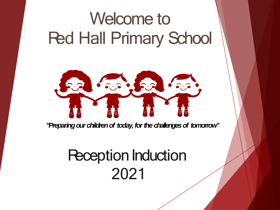# Welcome to Red Hall Primary School



"Preparing our children of *today, for the challenges* of *tomorrow*"

#### **Reception Induction** 2021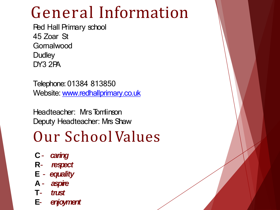# General Information

Red Hall Primary school 45 Zoar St **Gornalwood Dudley** DY3 2PA

Telephone:01384 813850 Website: [www.redhallprimary.co.uk](about:blank)

Headteacher: Mrs Tomlinson Deputy Headteacher: Mrs Shaw

#### Our School Values

- **C** *caring*
- **R** *respect*
- **E** *equality*
- **A** *aspire*
- **T** *trust*
- **E** *enjoyment*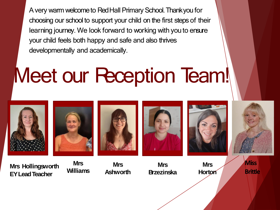A very warm welcometo RedHall Primary School.Thankyou for choosing our school to support your child on the first steps of their learning journey. We look forward to working with youto ensure your child feels both happy and safe and also thrives developmentally and academically.

# Meet our Reception Team!

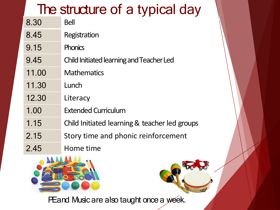#### The structure of a typical day

- 8.30 Bell
- 8.45 Registration
- 9.15 Phonics
- 9.45 Child Initiated learning and Teacher Led
- 11.00 Mathematics
- 11.30 Lunch
- 12.30 Literacy
- 1.00 Extended Curriculum
- 1.15 Child Initiated learning & teacher led groups
- 2.15 Story time and phonic reinforcement
- 2.45 Home time



PE and Music are also taught once a week.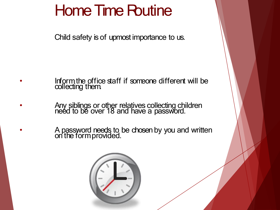### Home Time Routine

Child safety is of upmost importance to us.

- Inform the office staff if someone different will be collecting them.
- **Any siblings or other relatives collecting children** need to be over 18 and have a password.
- **A password needs to be chosen by you and written** on the formprovided.

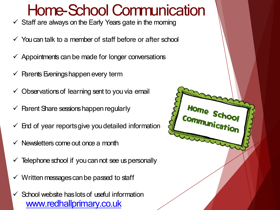#### Home-School Communication

Home Sch

Commu

- $\checkmark$  Staff are always on the Early Years gate in the moming
- $\checkmark$  You can talk to a member of staff before or after school
- $\checkmark$  Appointments can be made for longer conversations
- $\checkmark$  Parents Evenings happen every term
- $\checkmark$  Observations of learning sent to you via email
- $\checkmark$  Parent Share sessions happen regularly
- $\checkmark$  End of year reports give you detailed information
- Newsletters come out once a month
- Telephone school if you can not see us personally
- Written messages can be passed to staff
- $\checkmark$  School website has lots of useful information [www.redhallprimary.co.uk](about:blank)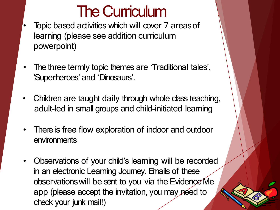#### The Curriculum

- Topic based activities which will cover 7 areas of learning (please see addition curriculum powerpoint)
- The three termly topic themes are 'Traditional tales', 'Superheroes' and 'Dinosaurs'.
- Children are taught daily through whole class teaching, adult-led in small groups and child-initiated learning
- There is free flow exploration of indoor and outdoor environments
- Observations of your child's learning will be recorded in an electronic Learning Journey. Emails of these observationswill be sent to you via the Evidence Me app (please accept the invitation, you may need to check your junk mail!)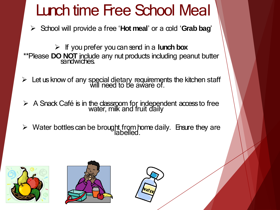#### Lunch time Free School Meal

➢ School will provide a free '**Hot meal**' or a cold '**Grab bag**'

➢ If you prefer you can send in a **lunch box** \*\*Please **DO NOT** include any nut products including peanut butter sandwiches.

- $\triangleright$  Let us know of any special dietary requirements the kitchen staff will need to be aware of.
- $\triangleright$  A Snack Café is in the classroom for independent access to free water, milk and fruit daily
- $\triangleright$  Water bottles can be brought from home daily. Ensure they are labelled.





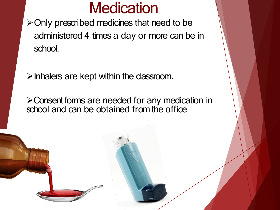#### **Medication**

➢Only prescribed medicines that need to be administered 4 times a day or more can be in school.

 $\triangleright$  Inhalers are kept within the dassroom.

➢Consent forms are needed for any medication in school and can be obtained from the office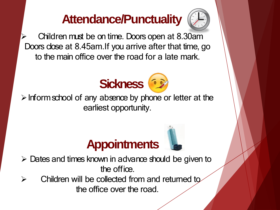#### **Attendance/Punctuality**



➢ Children must be on time. Doors open at 8.30am Doors close at 8.45am.If you arrive after that time, go to the main office over the road for a late mark.



 $\triangleright$  Inform school of any absence by phone or letter at the earliest opportunity.





 $\triangleright$  Children will be collected from and returned to the office over the road.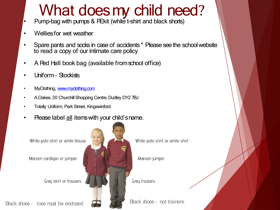### What does my child need?

- Pump-bag with pumps & PEkit (white t-shirt and black shorts)
- Welliesfor wet weather
- Spare pants and socks in case of accidents \* Please see the school website to read a copy of our intimate care policy
- A Red Hall book bag (available from school office)
- Uniform Stockists
- MyClothing, [www.myclothing.com](about:blank)
- A.Oakes, 30 Churchill Shopping Centre, Dudley DY2 7BJ
- Totally Uniform, ParkStreet, Kingswinford
- Please label all itemswith your child'sname.

White polo shirt or white blouse

Maroon cardigan or jumper



Black shoes - toes must be enclosed  $\Box$ 



White polo shirt or white shirt

Maroon jumper

Grey trousers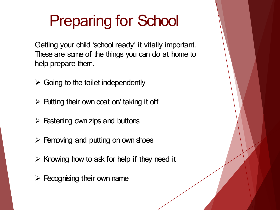# Preparing for School

Getting your child 'school ready' it vitally important. These are some of the things you can do at home to help prepare them.

- $\triangleright$  Going to the toilet independently
- $\triangleright$  Putting their own coat on taking it off
- $\triangleright$  Fastening own zips and buttons
- $\triangleright$  Removing and putting on own shoes
- $\triangleright$  Knowing how to ask for help if they need it
- $\triangleright$  Recognising their own name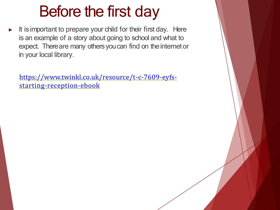### Before the first day

▶ It isimportant to prepare your child for their first day. Here is an example of a story about going to school and what to expect. There are many others you can find on the internet or in your local library.

[https://www.twinkl.co.uk/resource/t-c-7609-eyfs](about:blank)starting-reception-ebook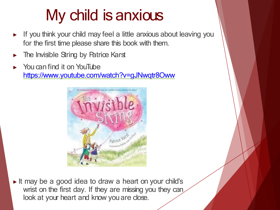## My child is anxious

- If you think your child may feel a little anxious about leaving you for the first time please share this book with them.
- The Invisible String by Patrice Karst
- You can find it on YouTube [https://www.youtube.com/watch?v=gJNwqtr8Oww](about:blank)



▶ It may be a good idea to draw a heart on your child's wrist on the first day. If they are missing you they can look at your heart and know you are close.